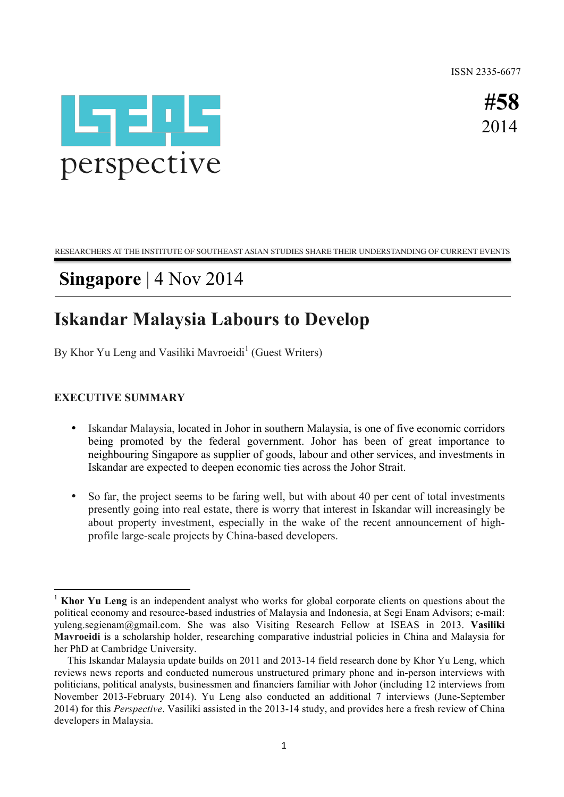ISSN 2335-6677



 **#58** 2014

RESEARCHERS AT THE INSTITUTE OF SOUTHEAST ASIAN STUDIES SHARE THEIR UNDERSTANDING OF CURRENT EVENTS

# **Singapore** | 4 Nov 2014

# **Iskandar Malaysia Labours to Develop**

By Khor Yu Leng and Vasiliki Mavroeidi<sup>1</sup> (Guest Writers)

### **EXECUTIVE SUMMARY**

<u> 1989 - Jan Samuel Barbara, político establecido de la provincia de la provincia de la provincia de la provinci</u>

- Iskandar Malaysia, located in Johor in southern Malaysia, is one of five economic corridors being promoted by the federal government. Johor has been of great importance to neighbouring Singapore as supplier of goods, labour and other services, and investments in Iskandar are expected to deepen economic ties across the Johor Strait.
- So far, the project seems to be faring well, but with about 40 per cent of total investments presently going into real estate, there is worry that interest in Iskandar will increasingly be about property investment, especially in the wake of the recent announcement of highprofile large-scale projects by China-based developers.

<sup>1</sup> **Khor Yu Leng** is an independent analyst who works for global corporate clients on questions about the political economy and resource-based industries of Malaysia and Indonesia, at Segi Enam Advisors; e-mail: yuleng.segienam@gmail.com. She was also Visiting Research Fellow at ISEAS in 2013. **Vasiliki Mavroeidi** is a scholarship holder, researching comparative industrial policies in China and Malaysia for her PhD at Cambridge University.

This Iskandar Malaysia update builds on 2011 and 2013-14 field research done by Khor Yu Leng, which reviews news reports and conducted numerous unstructured primary phone and in-person interviews with politicians, political analysts, businessmen and financiers familiar with Johor (including 12 interviews from November 2013-February 2014). Yu Leng also conducted an additional 7 interviews (June-September 2014) for this *Perspective*. Vasiliki assisted in the 2013-14 study, and provides here a fresh review of China developers in Malaysia.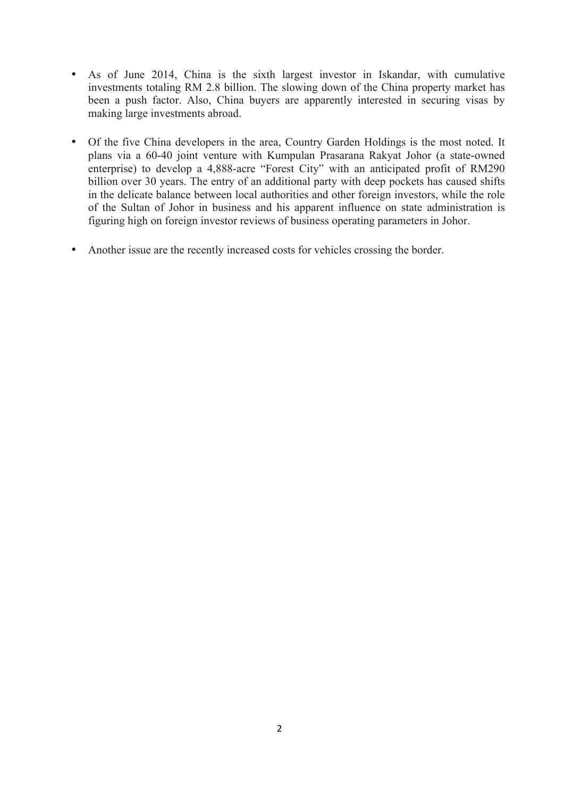- As of June 2014, China is the sixth largest investor in Iskandar, with cumulative investments totaling RM 2.8 billion. The slowing down of the China property market has been a push factor. Also, China buyers are apparently interested in securing visas by making large investments abroad.
- Of the five China developers in the area, Country Garden Holdings is the most noted. It plans via a 60-40 joint venture with Kumpulan Prasarana Rakyat Johor (a state-owned enterprise) to develop a 4,888-acre "Forest City" with an anticipated profit of RM290 billion over 30 years. The entry of an additional party with deep pockets has caused shifts in the delicate balance between local authorities and other foreign investors, while the role of the Sultan of Johor in business and his apparent influence on state administration is figuring high on foreign investor reviews of business operating parameters in Johor.
- Another issue are the recently increased costs for vehicles crossing the border.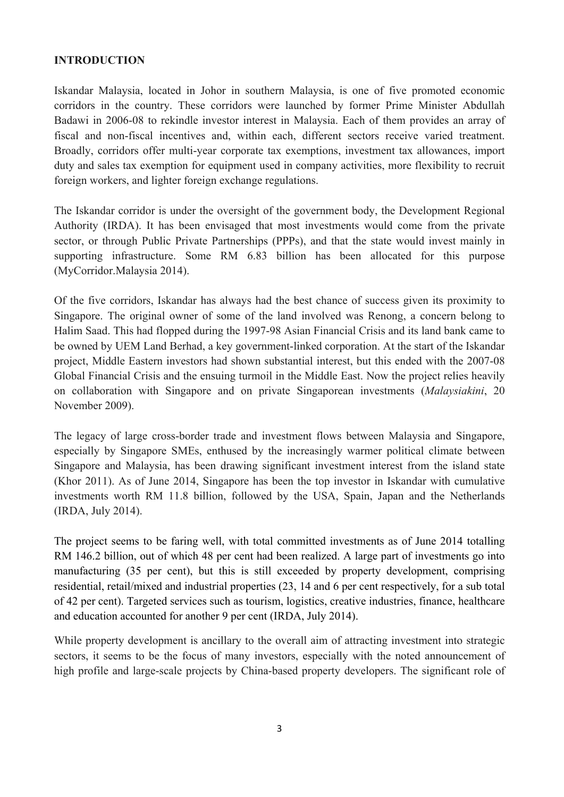#### **INTRODUCTION**

Iskandar Malaysia, located in Johor in southern Malaysia, is one of five promoted economic corridors in the country. These corridors were launched by former Prime Minister Abdullah Badawi in 2006-08 to rekindle investor interest in Malaysia. Each of them provides an array of fiscal and non-fiscal incentives and, within each, different sectors receive varied treatment. Broadly, corridors offer multi-year corporate tax exemptions, investment tax allowances, import duty and sales tax exemption for equipment used in company activities, more flexibility to recruit foreign workers, and lighter foreign exchange regulations.

The Iskandar corridor is under the oversight of the government body, the Development Regional Authority (IRDA). It has been envisaged that most investments would come from the private sector, or through Public Private Partnerships (PPPs), and that the state would invest mainly in supporting infrastructure. Some RM 6.83 billion has been allocated for this purpose (MyCorridor.Malaysia 2014).

Of the five corridors, Iskandar has always had the best chance of success given its proximity to Singapore. The original owner of some of the land involved was Renong, a concern belong to Halim Saad. This had flopped during the 1997-98 Asian Financial Crisis and its land bank came to be owned by UEM Land Berhad, a key government-linked corporation. At the start of the Iskandar project, Middle Eastern investors had shown substantial interest, but this ended with the 2007-08 Global Financial Crisis and the ensuing turmoil in the Middle East. Now the project relies heavily on collaboration with Singapore and on private Singaporean investments (*Malaysiakini*, 20 November 2009).

The legacy of large cross-border trade and investment flows between Malaysia and Singapore, especially by Singapore SMEs, enthused by the increasingly warmer political climate between Singapore and Malaysia, has been drawing significant investment interest from the island state (Khor 2011). As of June 2014, Singapore has been the top investor in Iskandar with cumulative investments worth RM 11.8 billion, followed by the USA, Spain, Japan and the Netherlands (IRDA, July 2014).

The project seems to be faring well, with total committed investments as of June 2014 totalling RM 146.2 billion, out of which 48 per cent had been realized. A large part of investments go into manufacturing (35 per cent), but this is still exceeded by property development, comprising residential, retail/mixed and industrial properties (23, 14 and 6 per cent respectively, for a sub total of 42 per cent). Targeted services such as tourism, logistics, creative industries, finance, healthcare and education accounted for another 9 per cent (IRDA, July 2014).

While property development is ancillary to the overall aim of attracting investment into strategic sectors, it seems to be the focus of many investors, especially with the noted announcement of high profile and large-scale projects by China-based property developers. The significant role of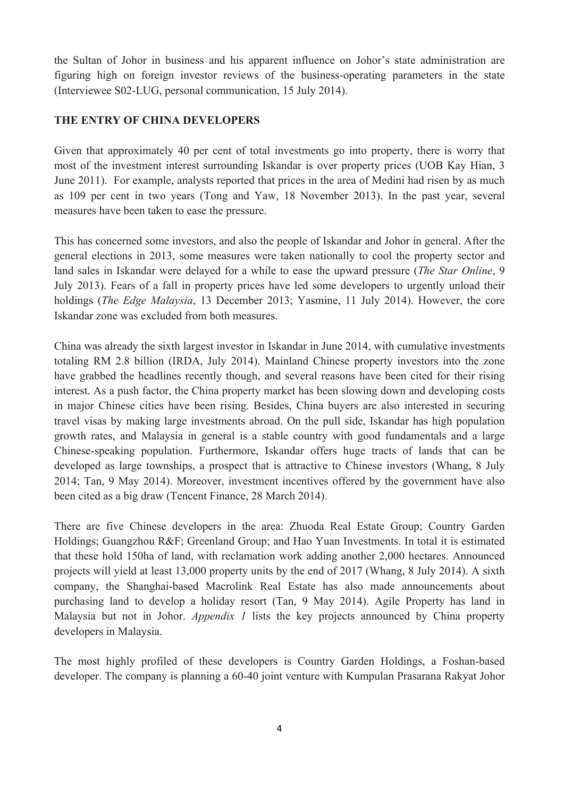the Sultan of Johor in business and his apparent influence on Johor's state administration are figuring high on foreign investor reviews of the business-operating parameters in the state (Interviewee S02-LUG, personal communication, 15 July 2014).

### **THE ENTRY OF CHINA DEVELOPERS**

Given that approximately 40 per cent of total investments go into property, there is worry that most of the investment interest surrounding Iskandar is over property prices (UOB Kay Hian, 3 June 2011). For example, analysts reported that prices in the area of Medini had risen by as much as 109 per cent in two years (Tong and Yaw, 18 November 2013). In the past year, several measures have been taken to ease the pressure.

This has concerned some investors, and also the people of Iskandar and Johor in general. After the general elections in 2013, some measures were taken nationally to cool the property sector and land sales in Iskandar were delayed for a while to ease the upward pressure (*The Star Online*, 9 July 2013). Fears of a fall in property prices have led some developers to urgently unload their holdings (*The Edge Malaysia*, 13 December 2013; Yasmine, 11 July 2014). However, the core Iskandar zone was excluded from both measures.

China was already the sixth largest investor in Iskandar in June 2014, with cumulative investments totaling RM 2.8 billion (IRDA, July 2014). Mainland Chinese property investors into the zone have grabbed the headlines recently though, and several reasons have been cited for their rising interest. As a push factor, the China property market has been slowing down and developing costs in major Chinese cities have been rising. Besides, China buyers are also interested in securing travel visas by making large investments abroad. On the pull side, Iskandar has high population growth rates, and Malaysia in general is a stable country with good fundamentals and a large Chinese-speaking population. Furthermore, Iskandar offers huge tracts of lands that can be developed as large townships, a prospect that is attractive to Chinese investors (Whang, 8 July 2014; Tan, 9 May 2014). Moreover, investment incentives offered by the government have also been cited as a big draw (Tencent Finance, 28 March 2014).

There are five Chinese developers in the area: Zhuoda Real Estate Group; Country Garden Holdings; Guangzhou R&F; Greenland Group; and Hao Yuan Investments. In total it is estimated that these hold 150ha of land, with reclamation work adding another 2,000 hectares. Announced projects will yield at least 13,000 property units by the end of 2017 (Whang, 8 July 2014). A sixth company, the Shanghai-based Macrolink Real Estate has also made announcements about purchasing land to develop a holiday resort (Tan, 9 May 2014). Agile Property has land in Malaysia but not in Johor. *Appendix 1* lists the key projects announced by China property developers in Malaysia.

The most highly profiled of these developers is Country Garden Holdings, a Foshan-based developer. The company is planning a 60-40 joint venture with Kumpulan Prasarana Rakyat Johor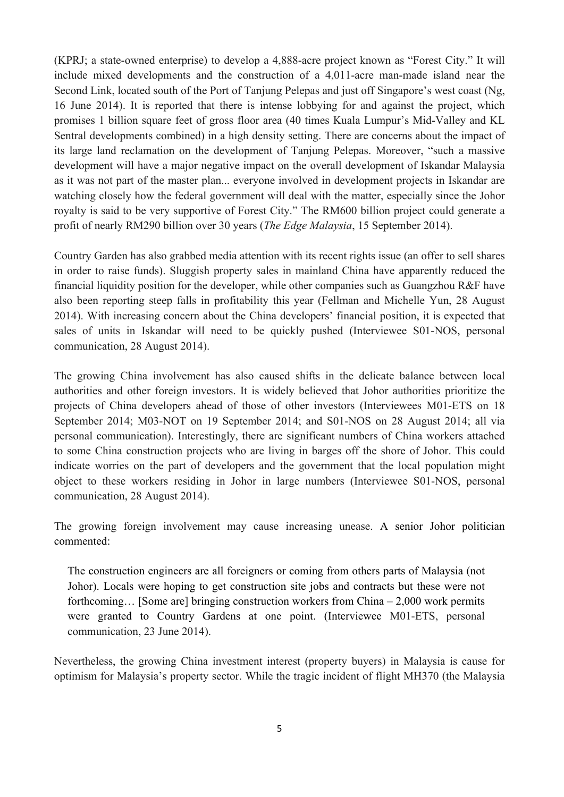(KPRJ; a state-owned enterprise) to develop a 4,888-acre project known as "Forest City." It will include mixed developments and the construction of a 4,011-acre man-made island near the Second Link, located south of the Port of Tanjung Pelepas and just off Singapore's west coast (Ng, 16 June 2014). It is reported that there is intense lobbying for and against the project, which promises 1 billion square feet of gross floor area (40 times Kuala Lumpur's Mid-Valley and KL Sentral developments combined) in a high density setting. There are concerns about the impact of its large land reclamation on the development of Tanjung Pelepas. Moreover, "such a massive development will have a major negative impact on the overall development of Iskandar Malaysia as it was not part of the master plan... everyone involved in development projects in Iskandar are watching closely how the federal government will deal with the matter, especially since the Johor royalty is said to be very supportive of Forest City." The RM600 billion project could generate a profit of nearly RM290 billion over 30 years (*The Edge Malaysia*, 15 September 2014).

Country Garden has also grabbed media attention with its recent rights issue (an offer to sell shares in order to raise funds). Sluggish property sales in mainland China have apparently reduced the financial liquidity position for the developer, while other companies such as Guangzhou R&F have also been reporting steep falls in profitability this year (Fellman and Michelle Yun, 28 August 2014). With increasing concern about the China developers' financial position, it is expected that sales of units in Iskandar will need to be quickly pushed (Interviewee S01-NOS, personal communication, 28 August 2014).

The growing China involvement has also caused shifts in the delicate balance between local authorities and other foreign investors. It is widely believed that Johor authorities prioritize the projects of China developers ahead of those of other investors (Interviewees M01-ETS on 18 September 2014; M03-NOT on 19 September 2014; and S01-NOS on 28 August 2014; all via personal communication). Interestingly, there are significant numbers of China workers attached to some China construction projects who are living in barges off the shore of Johor. This could indicate worries on the part of developers and the government that the local population might object to these workers residing in Johor in large numbers (Interviewee S01-NOS, personal communication, 28 August 2014).

The growing foreign involvement may cause increasing unease. A senior Johor politician commented:

The construction engineers are all foreigners or coming from others parts of Malaysia (not Johor). Locals were hoping to get construction site jobs and contracts but these were not forthcoming… [Some are] bringing construction workers from China – 2,000 work permits were granted to Country Gardens at one point. (Interviewee M01-ETS, personal communication, 23 June 2014).

Nevertheless, the growing China investment interest (property buyers) in Malaysia is cause for optimism for Malaysia's property sector. While the tragic incident of flight MH370 (the Malaysia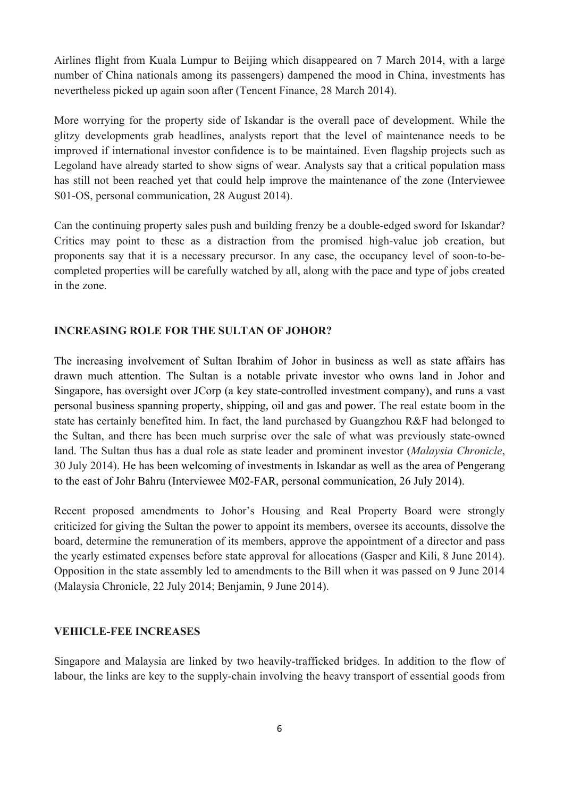Airlines flight from Kuala Lumpur to Beijing which disappeared on 7 March 2014, with a large number of China nationals among its passengers) dampened the mood in China, investments has nevertheless picked up again soon after (Tencent Finance, 28 March 2014).

More worrying for the property side of Iskandar is the overall pace of development. While the glitzy developments grab headlines, analysts report that the level of maintenance needs to be improved if international investor confidence is to be maintained. Even flagship projects such as Legoland have already started to show signs of wear. Analysts say that a critical population mass has still not been reached yet that could help improve the maintenance of the zone (Interviewee S01-OS, personal communication, 28 August 2014).

Can the continuing property sales push and building frenzy be a double-edged sword for Iskandar? Critics may point to these as a distraction from the promised high-value job creation, but proponents say that it is a necessary precursor. In any case, the occupancy level of soon-to-becompleted properties will be carefully watched by all, along with the pace and type of jobs created in the zone.

#### **INCREASING ROLE FOR THE SULTAN OF JOHOR?**

The increasing involvement of Sultan Ibrahim of Johor in business as well as state affairs has drawn much attention. The Sultan is a notable private investor who owns land in Johor and Singapore, has oversight over JCorp (a key state-controlled investment company), and runs a vast personal business spanning property, shipping, oil and gas and power. The real estate boom in the state has certainly benefited him. In fact, the land purchased by Guangzhou R&F had belonged to the Sultan, and there has been much surprise over the sale of what was previously state-owned land. The Sultan thus has a dual role as state leader and prominent investor (*Malaysia Chronicle*, 30 July 2014). He has been welcoming of investments in Iskandar as well as the area of Pengerang to the east of Johr Bahru (Interviewee M02-FAR, personal communication, 26 July 2014).

Recent proposed amendments to Johor's Housing and Real Property Board were strongly criticized for giving the Sultan the power to appoint its members, oversee its accounts, dissolve the board, determine the remuneration of its members, approve the appointment of a director and pass the yearly estimated expenses before state approval for allocations (Gasper and Kili, 8 June 2014). Opposition in the state assembly led to amendments to the Bill when it was passed on 9 June 2014 (Malaysia Chronicle, 22 July 2014; Benjamin, 9 June 2014).

#### **VEHICLE-FEE INCREASES**

Singapore and Malaysia are linked by two heavily-trafficked bridges. In addition to the flow of labour, the links are key to the supply-chain involving the heavy transport of essential goods from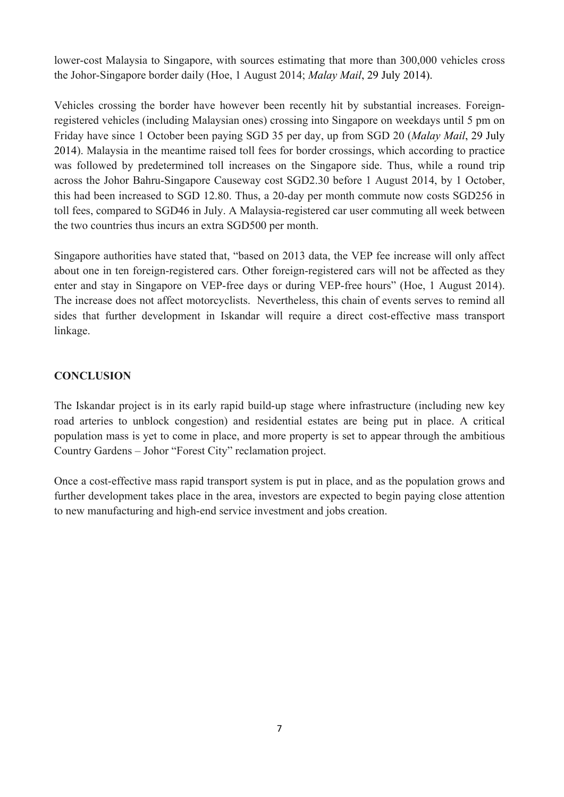lower-cost Malaysia to Singapore, with sources estimating that more than 300,000 vehicles cross the Johor-Singapore border daily (Hoe, 1 August 2014; *Malay Mail*, 29 July 2014).

Vehicles crossing the border have however been recently hit by substantial increases. Foreignregistered vehicles (including Malaysian ones) crossing into Singapore on weekdays until 5 pm on Friday have since 1 October been paying SGD 35 per day, up from SGD 20 (*Malay Mail*, 29 July 2014). Malaysia in the meantime raised toll fees for border crossings, which according to practice was followed by predetermined toll increases on the Singapore side. Thus, while a round trip across the Johor Bahru-Singapore Causeway cost SGD2.30 before 1 August 2014, by 1 October, this had been increased to SGD 12.80. Thus, a 20-day per month commute now costs SGD256 in toll fees, compared to SGD46 in July. A Malaysia-registered car user commuting all week between the two countries thus incurs an extra SGD500 per month.

Singapore authorities have stated that, "based on 2013 data, the VEP fee increase will only affect about one in ten foreign-registered cars. Other foreign-registered cars will not be affected as they enter and stay in Singapore on VEP-free days or during VEP-free hours" (Hoe, 1 August 2014). The increase does not affect motorcyclists. Nevertheless, this chain of events serves to remind all sides that further development in Iskandar will require a direct cost-effective mass transport linkage.

## **CONCLUSION**

The Iskandar project is in its early rapid build-up stage where infrastructure (including new key road arteries to unblock congestion) and residential estates are being put in place. A critical population mass is yet to come in place, and more property is set to appear through the ambitious Country Gardens – Johor "Forest City" reclamation project.

Once a cost-effective mass rapid transport system is put in place, and as the population grows and further development takes place in the area, investors are expected to begin paying close attention to new manufacturing and high-end service investment and jobs creation.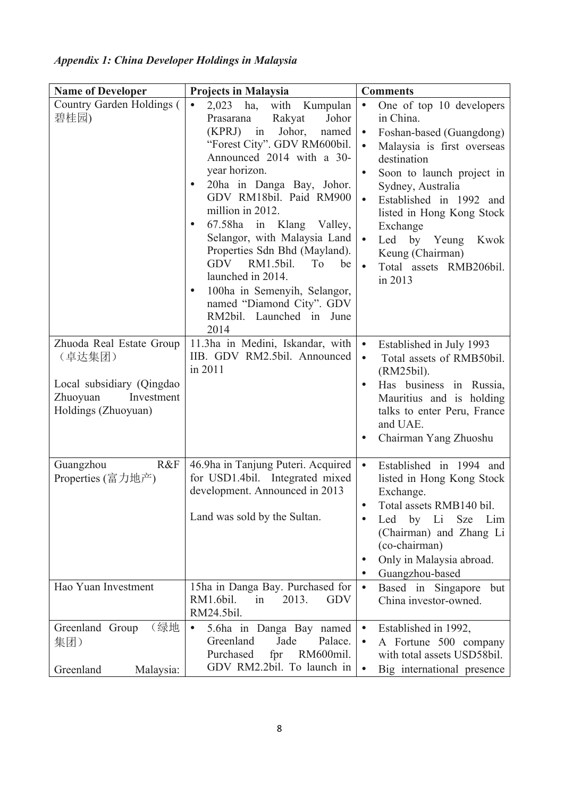# *Appendix 1: China Developer Holdings in Malaysia*

| <b>Name of Developer</b>                                                                                                                              | <b>Projects in Malaysia</b>                                                                                                                                                                                                                                                                                                                                                                                                                                                                                                                                                                                                                            | <b>Comments</b>                                                                                                                                                                                                                                                                                                                                                                                                                                                                                                                                                                                                       |
|-------------------------------------------------------------------------------------------------------------------------------------------------------|--------------------------------------------------------------------------------------------------------------------------------------------------------------------------------------------------------------------------------------------------------------------------------------------------------------------------------------------------------------------------------------------------------------------------------------------------------------------------------------------------------------------------------------------------------------------------------------------------------------------------------------------------------|-----------------------------------------------------------------------------------------------------------------------------------------------------------------------------------------------------------------------------------------------------------------------------------------------------------------------------------------------------------------------------------------------------------------------------------------------------------------------------------------------------------------------------------------------------------------------------------------------------------------------|
| Country Garden Holdings (<br>碧桂园)<br>Zhuoda Real Estate Group<br>(卓达集团)<br>Local subsidiary (Qingdao<br>Zhuoyuan<br>Investment<br>Holdings (Zhuoyuan) | 2,023<br>ha,<br>with<br>Kumpulan<br>$\bullet$<br>Rakyat<br>Johor<br>Prasarana<br>(KPRJ) in Johor,<br>named<br>"Forest City". GDV RM600bil.<br>Announced 2014 with a 30-<br>year horizon.<br>20ha in Danga Bay, Johor.<br>$\bullet$<br>GDV RM18bil. Paid RM900<br>million in 2012.<br>67.58ha<br>in Klang Valley,<br>$\bullet$<br>Selangor, with Malaysia Land<br>Properties Sdn Bhd (Mayland).<br><b>GDV</b><br>RM1.5bil.<br>T <sub>o</sub><br>be<br>launched in 2014.<br>100ha in Semenyih, Selangor,<br>named "Diamond City". GDV<br>RM2bil. Launched in June<br>2014<br>11.3ha in Medini, Iskandar, with<br>IIB. GDV RM2.5bil. Announced<br>in 2011 | One of top 10 developers<br>$\bullet$<br>in China.<br>Foshan-based (Guangdong)<br>$\bullet$<br>Malaysia is first overseas<br>$\bullet$<br>destination<br>Soon to launch project in<br>$\bullet$<br>Sydney, Australia<br>Established in 1992 and<br>$\bullet$<br>listed in Hong Kong Stock<br>Exchange<br>$\bullet$<br>Led by Yeung<br>Kwok<br>Keung (Chairman)<br>Total assets RMB206bil.<br>$\bullet$<br>in 2013<br>Established in July 1993<br>$\bullet$<br>Total assets of RMB50bil.<br>$\bullet$<br>(RM25bil).<br>Has business in Russia,<br>$\bullet$<br>Mauritius and is holding<br>talks to enter Peru, France |
|                                                                                                                                                       |                                                                                                                                                                                                                                                                                                                                                                                                                                                                                                                                                                                                                                                        | and UAE.<br>Chairman Yang Zhuoshu                                                                                                                                                                                                                                                                                                                                                                                                                                                                                                                                                                                     |
| Guangzhou<br>R&F<br>Properties (富力地产)                                                                                                                 | 46.9ha in Tanjung Puteri. Acquired<br>for USD1.4bil. Integrated mixed<br>development. Announced in 2013<br>Land was sold by the Sultan.                                                                                                                                                                                                                                                                                                                                                                                                                                                                                                                | Established in 1994 and<br>$\bullet$<br>listed in Hong Kong Stock<br>Exchange.<br>Total assets RMB140 bil.<br>Li<br>by<br><b>Sze</b><br>Lim<br>Led<br>$\bullet$<br>(Chairman) and Zhang Li<br>(co-chairman)<br>Only in Malaysia abroad.<br>$\bullet$<br>Guangzhou-based<br>$\bullet$                                                                                                                                                                                                                                                                                                                                  |
| Hao Yuan Investment                                                                                                                                   | 15ha in Danga Bay. Purchased for<br>RM1.6bil.<br>2013.<br><b>GDV</b><br>in<br>RM24.5bil.                                                                                                                                                                                                                                                                                                                                                                                                                                                                                                                                                               | Based in Singapore<br>$\bullet$<br>but<br>China investor-owned.                                                                                                                                                                                                                                                                                                                                                                                                                                                                                                                                                       |
| (绿地<br>Greenland Group<br>集团)<br>Greenland<br>Malaysia:                                                                                               | 5.6ha in Danga Bay named<br>$\bullet$<br>Jade<br>Palace.<br>Greenland<br>Purchased<br>fpr<br>RM600mil.<br>GDV RM2.2bil. To launch in                                                                                                                                                                                                                                                                                                                                                                                                                                                                                                                   | Established in 1992,<br>$\bullet$<br>A Fortune 500 company<br>$\bullet$<br>with total assets USD58bil.<br>$\bullet$<br>Big international presence                                                                                                                                                                                                                                                                                                                                                                                                                                                                     |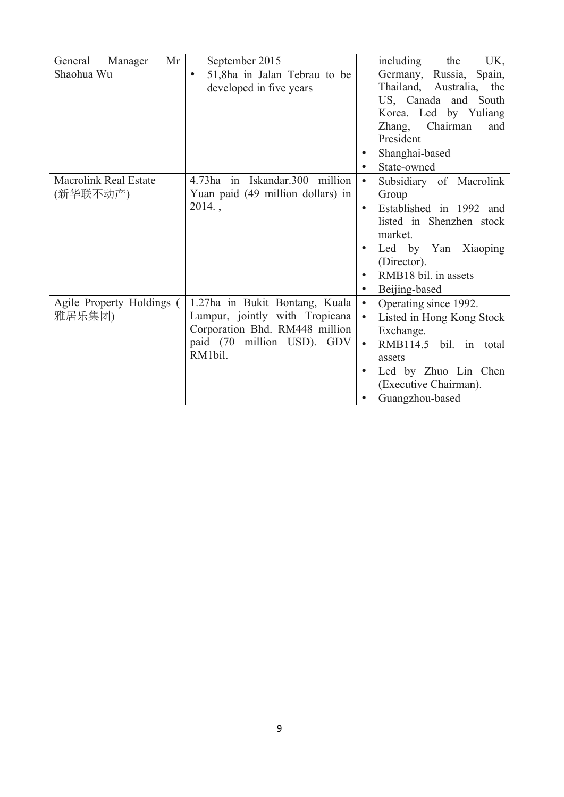| Mr<br>Manager<br>General     | September 2015                            | including<br>the<br>UK,                |
|------------------------------|-------------------------------------------|----------------------------------------|
| Shaohua Wu                   | 51,8ha in Jalan Tebrau to be<br>$\bullet$ | Germany,<br>Russia,<br>Spain,          |
|                              | developed in five years                   | Thailand, Australia,<br>the            |
|                              |                                           | US, Canada and South                   |
|                              |                                           | Korea. Led by Yuliang                  |
|                              |                                           | Zhang,<br>Chairman<br>and              |
|                              |                                           | President                              |
|                              |                                           | Shanghai-based                         |
|                              |                                           | State-owned                            |
| <b>Macrolink Real Estate</b> | 4.73ha in Iskandar.300 million            | Subsidiary of Macrolink<br>$\bullet$   |
| (新华联不动产)                     | Yuan paid (49 million dollars) in         | Group                                  |
|                              | $2014.$ ,                                 | Established in 1992 and                |
|                              |                                           | listed in Shenzhen stock               |
|                              |                                           | market.                                |
|                              |                                           | Led by Yan Xiaoping                    |
|                              |                                           | (Director).                            |
|                              |                                           | RMB18 bil. in assets                   |
|                              |                                           | Beijing-based                          |
| Agile Property Holdings (    | 1.27ha in Bukit Bontang, Kuala            | Operating since 1992.<br>$\bullet$     |
| 雅居乐集团)                       | Lumpur, jointly with Tropicana            | Listed in Hong Kong Stock<br>$\bullet$ |
|                              | Corporation Bhd. RM448 million            | Exchange.                              |
|                              | paid (70 million USD). GDV                | RMB114.5 bil. in total<br>$\bullet$    |
|                              | RM1bil.                                   | assets                                 |
|                              |                                           | Led by Zhuo Lin Chen                   |
|                              |                                           | (Executive Chairman).                  |
|                              |                                           | Guangzhou-based                        |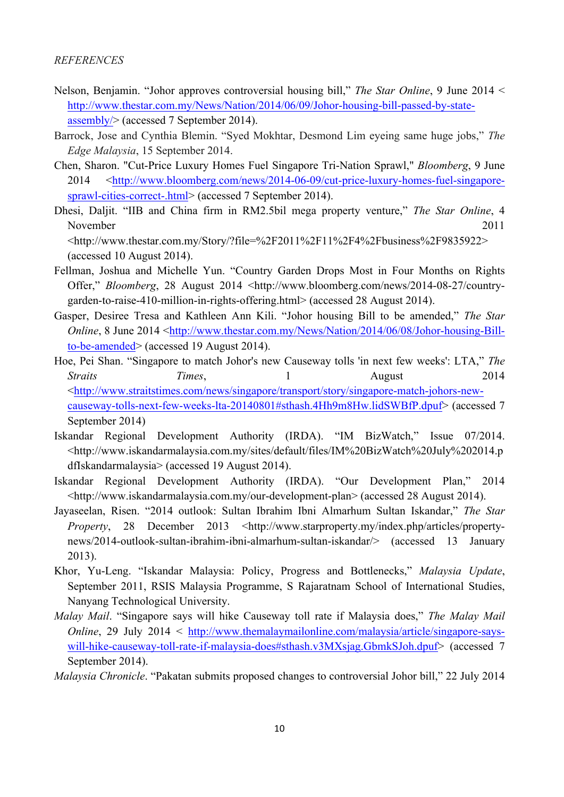#### *REFERENCES*

- Nelson, Benjamin. "Johor approves controversial housing bill," *The Star Online*, 9 June 2014 < http://www.thestar.com.my/News/Nation/2014/06/09/Johor-housing-bill-passed-by-stateassembly/> (accessed 7 September 2014).
- Barrock, Jose and Cynthia Blemin. "Syed Mokhtar, Desmond Lim eyeing same huge jobs," *The Edge Malaysia*, 15 September 2014.
- Chen, Sharon. "Cut-Price Luxury Homes Fuel Singapore Tri-Nation Sprawl," *Bloomberg*, 9 June 2014 <http://www.bloomberg.com/news/2014-06-09/cut-price-luxury-homes-fuel-singaporesprawl-cities-correct-.html> (accessed 7 September 2014).
- Dhesi, Daljit. "IIB and China firm in RM2.5bil mega property venture," *The Star Online*, 4 November 2011 <http://www.thestar.com.my/Story/?file=%2F2011%2F11%2F4%2Fbusiness%2F9835922>

(accessed 10 August 2014).

- Fellman, Joshua and Michelle Yun. "Country Garden Drops Most in Four Months on Rights Offer," *Bloomberg*, 28 August 2014 <http://www.bloomberg.com/news/2014-08-27/countrygarden-to-raise-410-million-in-rights-offering.html> (accessed 28 August 2014).
- Gasper, Desiree Tresa and Kathleen Ann Kili. "Johor housing Bill to be amended," *The Star Online*, 8 June 2014 <http://www.thestar.com.my/News/Nation/2014/06/08/Johor-housing-Billto-be-amended> (accessed 19 August 2014).
- Hoe, Pei Shan. "Singapore to match Johor's new Causeway tolls 'in next few weeks': LTA," *The Straits* 7*imes*, 1 August 2014 <http://www.straitstimes.com/news/singapore/transport/story/singapore-match-johors-newcauseway-tolls-next-few-weeks-lta-20140801#sthash.4Hh9m8Hw.lidSWBfP.dpuf> (accessed 7 September 2014)
- Iskandar Regional Development Authority (IRDA). "IM BizWatch," Issue 07/2014. <http://www.iskandarmalaysia.com.my/sites/default/files/IM%20BizWatch%20July%202014.p dfIskandarmalaysia> (accessed 19 August 2014).
- Iskandar Regional Development Authority (IRDA). "Our Development Plan," 2014 <http://www.iskandarmalaysia.com.my/our-development-plan> (accessed 28 August 2014).
- Jayaseelan, Risen. "2014 outlook: Sultan Ibrahim Ibni Almarhum Sultan Iskandar," *The Star Property*, 28 December 2013 <http://www.starproperty.my/index.php/articles/propertynews/2014-outlook-sultan-ibrahim-ibni-almarhum-sultan-iskandar/> (accessed 13 January 2013).
- Khor, Yu-Leng. "Iskandar Malaysia: Policy, Progress and Bottlenecks," *Malaysia Update*, September 2011, RSIS Malaysia Programme, S Rajaratnam School of International Studies, Nanyang Technological University.
- *Malay Mail*. "Singapore says will hike Causeway toll rate if Malaysia does," *The Malay Mail Online*, 29 July 2014 < http://www.themalaymailonline.com/malaysia/article/singapore-sayswill-hike-causeway-toll-rate-if-malaysia-does#sthash.v3MXsjag.GbmkSJoh.dpuf> (accessed 7 September 2014).
- *Malaysia Chronicle*. "Pakatan submits proposed changes to controversial Johor bill," 22 July 2014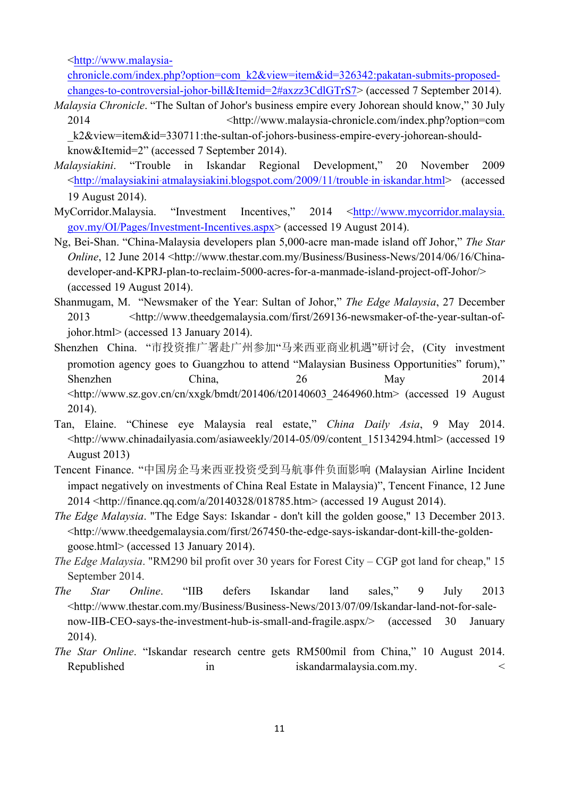<http://www.malaysia-

chronicle.com/index.php?option=com\_k2&view=item&id=326342:pakatan-submits-proposedchanges-to-controversial-johor-bill&Itemid=2#axzz3CdlGTrS7> (accessed 7 September 2014).

*Malaysia Chronicle*. "The Sultan of Johor's business empire every Johorean should know," 30 July 2014 <http://www.malaysia-chronicle.com/index.php?option=com k2&view=item&id=330711:the-sultan-of-johors-business-empire-every-johorean-should-

know&Itemid=2" (accessed 7 September 2014).

- *Malaysiakini*. "Trouble in Iskandar Regional Development," 20 November 2009 <http://malaysiakini*‐*atmalaysiakini.blogspot.com/2009/11/trouble*‐*in*‐*iskandar.html> (accessed 19 August 2014).
- MyCorridor.Malaysia. "Investment Incentives," 2014 <http://www.mycorridor.malaysia. gov.my/OI/Pages/Investment-Incentives.aspx> (accessed 19 August 2014).
- Ng, Bei-Shan. "China-Malaysia developers plan 5,000-acre man-made island off Johor," *The Star Online*, 12 June 2014 <http://www.thestar.com.my/Business/Business-News/2014/06/16/Chinadeveloper-and-KPRJ-plan-to-reclaim-5000-acres-for-a-manmade-island-project-off-Johor/> (accessed 19 August 2014).
- Shanmugam, M. "Newsmaker of the Year: Sultan of Johor," *The Edge Malaysia*, 27 December 2013 <http://www.theedgemalaysia.com/first/269136-newsmaker-of-the-year-sultan-ofjohor.html> (accessed 13 January 2014).
- Shenzhen China. "市投资推广署赴广州参加"马来西亚商业机遇"研讨会, (City investment promotion agency goes to Guangzhou to attend "Malaysian Business Opportunities" forum)," Shenzhen China, 26 May 2014 <http://www.sz.gov.cn/cn/xxgk/bmdt/201406/t20140603\_2464960.htm> (accessed 19 August 2014).
- Tan, Elaine. "Chinese eye Malaysia real estate," *China Daily Asia*, 9 May 2014. <http://www.chinadailyasia.com/asiaweekly/2014-05/09/content\_15134294.html> (accessed 19 August 2013)
- Tencent Finance. "中国房企马来西亚投资受到马航事件负面影响 (Malaysian Airline Incident impact negatively on investments of China Real Estate in Malaysia)", Tencent Finance, 12 June 2014 <http://finance.qq.com/a/20140328/018785.htm> (accessed 19 August 2014).
- *The Edge Malaysia*. "The Edge Says: Iskandar don't kill the golden goose," 13 December 2013. <http://www.theedgemalaysia.com/first/267450-the-edge-says-iskandar-dont-kill-the-goldengoose.html> (accessed 13 January 2014).
- *The Edge Malaysia*. "RM290 bil profit over 30 years for Forest City CGP got land for cheap," 15 September 2014.
- *The Star Online*. "IIB defers Iskandar land sales," 9 July 2013 <http://www.thestar.com.my/Business/Business-News/2013/07/09/Iskandar-land-not-for-salenow-IIB-CEO-says-the-investment-hub-is-small-and-fragile.aspx/> (accessed 30 January 2014).
- *The Star Online*. "Iskandar research centre gets RM500mil from China," 10 August 2014. Republished in iskandarmalaysia.com.my.